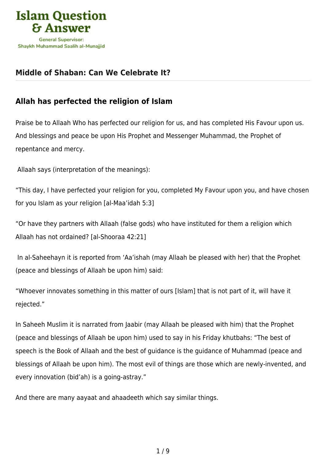

## **[Middle of Shaban: Can We Celebrate It?](https://islamqa.info/en/articles/66/middle-of-shaban-can-we-celebrate-it)**

## **Allah has perfected the religion of Islam**

Praise be to Allaah Who has perfected our religion for us, and has completed His Favour upon us. And blessings and peace be upon His Prophet and Messenger Muhammad, the Prophet of repentance and mercy.

Allaah says (interpretation of the meanings):

"This day, I have perfected your religion for you, completed My Favour upon you, and have chosen for you Islam as your religion [al-Maa'idah 5:3]

"Or have they partners with Allaah (false gods) who have instituted for them a religion which Allaah has not ordained? [al-Shooraa 42:21]

 In al-Saheehayn it is reported from 'Aa'ishah (may Allaah be pleased with her) that the Prophet (peace and blessings of Allaah be upon him) said:

"Whoever innovates something in this matter of ours [Islam] that is not part of it, will have it rejected."

In Saheeh Muslim it is narrated from Jaabir (may Allaah be pleased with him) that the Prophet (peace and blessings of Allaah be upon him) used to say in his Friday khutbahs: "The best of speech is the Book of Allaah and the best of guidance is the guidance of Muhammad (peace and blessings of Allaah be upon him). The most evil of things are those which are newly-invented, and every innovation (bid'ah) is a going-astray."

And there are many aayaat and ahaadeeth which say similar things.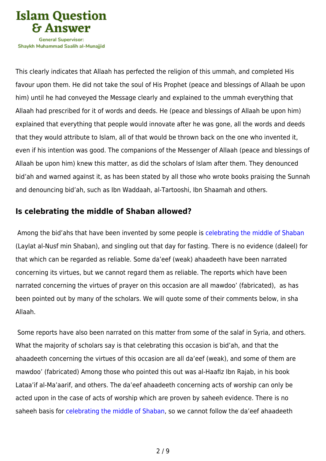

Shavkh Muhammad Saalih al-Munaiiid

This clearly indicates that Allaah has perfected the religion of this ummah, and completed His favour upon them. He did not take the soul of His Prophet (peace and blessings of Allaah be upon him) until he had conveyed the Message clearly and explained to the ummah everything that Allaah had prescribed for it of words and deeds. He (peace and blessings of Allaah be upon him) explained that everything that people would innovate after he was gone, all the words and deeds that they would attribute to Islam, all of that would be thrown back on the one who invented it, even if his intention was good. The companions of the Messenger of Allaah (peace and blessings of Allaah be upon him) knew this matter, as did the scholars of Islam after them. They denounced bid'ah and warned against it, as has been stated by all those who wrote books praising the Sunnah and denouncing bid'ah, such as Ibn Waddaah, al-Tartooshi, Ibn Shaamah and others.

## **Is celebrating the middle of Shaban allowed?**

 Among the bid'ahs that have been invented by some people is [celebrating the middle of Shaban](https://islamqa.info/en/answers/154183) (Laylat al-Nusf min Shaban), and singling out that day for fasting. There is no evidence (daleel) for that which can be regarded as reliable. Some da'eef (weak) ahaadeeth have been narrated concerning its virtues, but we cannot regard them as reliable. The reports which have been narrated concerning the virtues of prayer on this occasion are all mawdoo' (fabricated), as has been pointed out by many of the scholars. We will quote some of their comments below, in sha Allaah.

 Some reports have also been narrated on this matter from some of the salaf in Syria, and others. What the majority of scholars say is that celebrating this occasion is bid'ah, and that the ahaadeeth concerning the virtues of this occasion are all da'eef (weak), and some of them are mawdoo' (fabricated) Among those who pointed this out was al-Haafiz Ibn Rajab, in his book Lataa'if al-Ma'aarif, and others. The da'eef ahaadeeth concerning acts of worship can only be acted upon in the case of acts of worship which are proven by saheeh evidence. There is no saheeh basis for [celebrating the middle of Shaban,](https://islamqa.info/en/answers/49678) so we cannot follow the da'eef ahaadeeth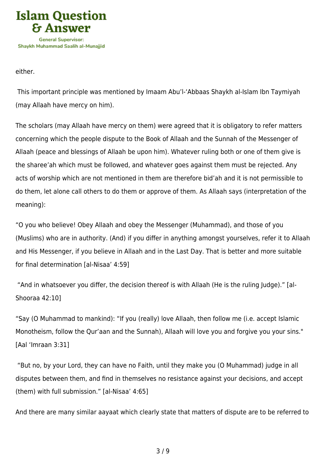

either.

 This important principle was mentioned by Imaam Abu'l-'Abbaas Shaykh al-Islam Ibn Taymiyah (may Allaah have mercy on him).

The scholars (may Allaah have mercy on them) were agreed that it is obligatory to refer matters concerning which the people dispute to the Book of Allaah and the Sunnah of the Messenger of Allaah (peace and blessings of Allaah be upon him). Whatever ruling both or one of them give is the sharee'ah which must be followed, and whatever goes against them must be rejected. Any acts of worship which are not mentioned in them are therefore bid'ah and it is not permissible to do them, let alone call others to do them or approve of them. As Allaah says (interpretation of the meaning):

"O you who believe! Obey Allaah and obey the Messenger (Muhammad), and those of you (Muslims) who are in authority. (And) if you differ in anything amongst yourselves, refer it to Allaah and His Messenger, if you believe in Allaah and in the Last Day. That is better and more suitable for final determination [al-Nisaa' 4:59]

 "And in whatsoever you differ, the decision thereof is with Allaah (He is the ruling Judge)." [al-Shooraa 42:10]

"Say (O Muhammad to mankind): "If you (really) love Allaah, then follow me (i.e. accept Islamic Monotheism, follow the Qur'aan and the Sunnah), Allaah will love you and forgive you your sins." [Aal 'Imraan 3:31]

 "But no, by your Lord, they can have no Faith, until they make you (O Muhammad) judge in all disputes between them, and find in themselves no resistance against your decisions, and accept (them) with full submission." [al-Nisaa' 4:65]

And there are many similar aayaat which clearly state that matters of dispute are to be referred to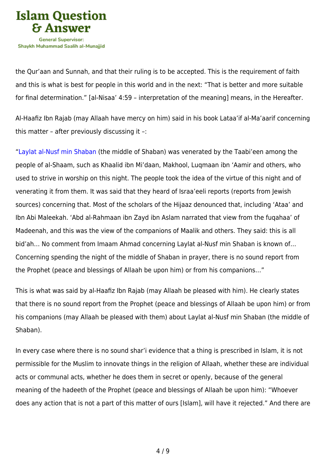

the Qur'aan and Sunnah, and that their ruling is to be accepted. This is the requirement of faith and this is what is best for people in this world and in the next: "That is better and more suitable for final determination." [al-Nisaa' 4:59 – interpretation of the meaning] means, in the Hereafter.

Al-Haafiz Ibn Rajab (may Allaah have mercy on him) said in his book Lataa'if al-Ma'aarif concerning this matter – after previously discussing it –:

"[Laylat al-Nusf min Shaban](https://islamqa.info/en/answers/249623) (the middle of Shaban) was venerated by the Taabi'een among the people of al-Shaam, such as Khaalid ibn Mi'daan, Makhool, Luqmaan ibn 'Aamir and others, who used to strive in worship on this night. The people took the idea of the virtue of this night and of venerating it from them. It was said that they heard of Israa'eeli reports (reports from Jewish sources) concerning that. Most of the scholars of the Hijaaz denounced that, including 'Ataa' and Ibn Abi Maleekah. 'Abd al-Rahmaan ibn Zayd ibn Aslam narrated that view from the fuqahaa' of Madeenah, and this was the view of the companions of Maalik and others. They said: this is all bid'ah… No comment from Imaam Ahmad concerning Laylat al-Nusf min Shaban is known of… Concerning spending the night of the middle of Shaban in prayer, there is no sound report from the Prophet (peace and blessings of Allaah be upon him) or from his companions…"

This is what was said by al-Haafiz Ibn Rajab (may Allaah be pleased with him). He clearly states that there is no sound report from the Prophet (peace and blessings of Allaah be upon him) or from his companions (may Allaah be pleased with them) about Laylat al-Nusf min Shaban (the middle of Shaban).

In every case where there is no sound shar'i evidence that a thing is prescribed in Islam, it is not permissible for the Muslim to innovate things in the religion of Allaah, whether these are individual acts or communal acts, whether he does them in secret or openly, because of the general meaning of the hadeeth of the Prophet (peace and blessings of Allaah be upon him): "Whoever does any action that is not a part of this matter of ours [Islam], will have it rejected." And there are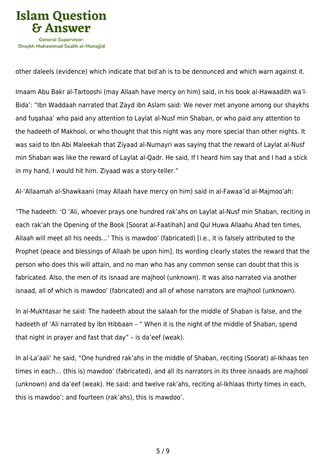

other daleels (evidence) which indicate that bid'ah is to be denounced and which warn against it.

Imaam Abu Bakr al-Tartooshi (may Allaah have mercy on him) said, in his book al-Hawaadith wa'l-Bida': "Ibn Waddaah narrated that Zayd ibn Aslam said: We never met anyone among our shaykhs and fuqahaa' who paid any attention to Laylat al-Nusf min Shaban, or who paid any attention to the hadeeth of Makhool, or who thought that this night was any more special than other nights. It was said to Ibn Abi Maleekah that Ziyaad al-Numayri was saying that the reward of Laylat al-Nusf min Shaban was like the reward of Laylat al-Qadr. He said, If I heard him say that and I had a stick in my hand, I would hit him. Ziyaad was a story-teller."

Al-'Allaamah al-Shawkaani (may Allaah have mercy on him) said in al-Fawaa'id al-Majmoo'ah:

"The hadeeth: 'O 'Ali, whoever prays one hundred rak'ahs on Laylat al-Nusf min Shaban, reciting in each rak'ah the Opening of the Book [Soorat al-Faatihah] and Qul Huwa Allaahu Ahad ten times, Allaah will meet all his needs…' This is mawdoo' (fabricated) [i.e., it is falsely attributed to the Prophet (peace and blessings of Allaah be upon him]. Its wording clearly states the reward that the person who does this will attain, and no man who has any common sense can doubt that this is fabricated. Also, the men of its isnaad are majhool (unknown). It was also narrated via another isnaad, all of which is mawdoo' (fabricated) and all of whose narrators are majhool (unknown).

In al-Mukhtasar he said: The hadeeth about the salaah for the middle of Shaban is false, and the hadeeth of 'Ali narrated by Ibn Hibbaan - " When it is the night of the middle of Shaban, spend that night in prayer and fast that day" – is da'eef (weak).

In al-La'aali' he said, "One hundred rak'ahs in the middle of Shaban, reciting (Soorat) al-Ikhaas ten times in each… (this is) mawdoo' (fabricated), and all its narrators in its three isnaads are majhool (unknown) and da'eef (weak). He said: and twelve rak'ahs, reciting al-Ikhlaas thirty times in each, this is mawdoo'; and fourteen (rak'ahs), this is mawdoo'.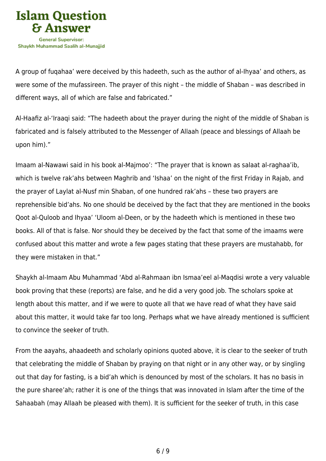

A group of fuqahaa' were deceived by this hadeeth, such as the author of al-Ihyaa' and others, as were some of the mufassireen. The prayer of this night – the middle of Shaban – was described in different ways, all of which are false and fabricated."

Al-Haafiz al-'Iraaqi said: "The hadeeth about the prayer during the night of the middle of Shaban is fabricated and is falsely attributed to the Messenger of Allaah (peace and blessings of Allaah be upon him)."

Imaam al-Nawawi said in his book al-Majmoo': "The prayer that is known as salaat al-raghaa'ib, which is twelve rak'ahs between Maghrib and 'Ishaa' on the night of the first Friday in Rajab, and the prayer of Laylat al-Nusf min Shaban, of one hundred rak'ahs – these two prayers are reprehensible bid'ahs. No one should be deceived by the fact that they are mentioned in the books Qoot al-Quloob and Ihyaa' 'Uloom al-Deen, or by the hadeeth which is mentioned in these two books. All of that is false. Nor should they be deceived by the fact that some of the imaams were confused about this matter and wrote a few pages stating that these prayers are mustahabb, for they were mistaken in that."

Shaykh al-Imaam Abu Muhammad 'Abd al-Rahmaan ibn Ismaa'eel al-Maqdisi wrote a very valuable book proving that these (reports) are false, and he did a very good job. The scholars spoke at length about this matter, and if we were to quote all that we have read of what they have said about this matter, it would take far too long. Perhaps what we have already mentioned is sufficient to convince the seeker of truth.

From the aayahs, ahaadeeth and scholarly opinions quoted above, it is clear to the seeker of truth that celebrating the middle of Shaban by praying on that night or in any other way, or by singling out that day for fasting, is a bid'ah which is denounced by most of the scholars. It has no basis in the pure sharee'ah; rather it is one of the things that was innovated in Islam after the time of the Sahaabah (may Allaah be pleased with them). It is sufficient for the seeker of truth, in this case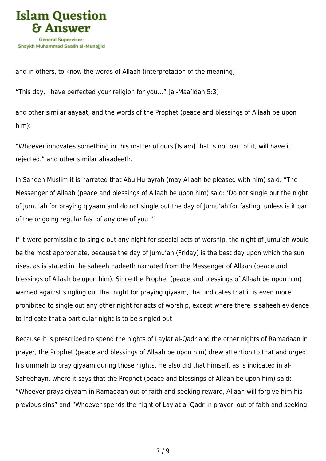

and in others, to know the words of Allaah (interpretation of the meaning):

"This day, I have perfected your religion for you…" [al-Maa'idah 5:3]

and other similar aayaat; and the words of the Prophet (peace and blessings of Allaah be upon him):

"Whoever innovates something in this matter of ours [Islam] that is not part of it, will have it rejected." and other similar ahaadeeth.

In Saheeh Muslim it is narrated that Abu Hurayrah (may Allaah be pleased with him) said: "The Messenger of Allaah (peace and blessings of Allaah be upon him) said: 'Do not single out the night of Jumu'ah for praying qiyaam and do not single out the day of Jumu'ah for fasting, unless is it part of the ongoing regular fast of any one of you.'"

If it were permissible to single out any night for special acts of worship, the night of Jumu'ah would be the most appropriate, because the day of Jumu'ah (Friday) is the best day upon which the sun rises, as is stated in the saheeh hadeeth narrated from the Messenger of Allaah (peace and blessings of Allaah be upon him). Since the Prophet (peace and blessings of Allaah be upon him) warned against singling out that night for praying qiyaam, that indicates that it is even more prohibited to single out any other night for acts of worship, except where there is saheeh evidence to indicate that a particular night is to be singled out.

Because it is prescribed to spend the nights of Laylat al-Qadr and the other nights of Ramadaan in prayer, the Prophet (peace and blessings of Allaah be upon him) drew attention to that and urged his ummah to pray qiyaam during those nights. He also did that himself, as is indicated in al-Saheehayn, where it says that the Prophet (peace and blessings of Allaah be upon him) said: "Whoever prays qiyaam in Ramadaan out of faith and seeking reward, Allaah will forgive him his previous sins" and "Whoever spends the night of Laylat al-Qadr in prayer out of faith and seeking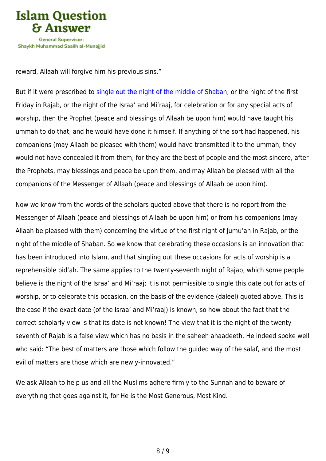

reward, Allaah will forgive him his previous sins."

But if it were prescribed to [single out the night of the middle of Shaban,](https://islamqa.info/en/answers/8907) or the night of the first Friday in Rajab, or the night of the Israa' and Mi'raaj, for celebration or for any special acts of worship, then the Prophet (peace and blessings of Allaah be upon him) would have taught his ummah to do that, and he would have done it himself. If anything of the sort had happened, his companions (may Allaah be pleased with them) would have transmitted it to the ummah; they would not have concealed it from them, for they are the best of people and the most sincere, after the Prophets, may blessings and peace be upon them, and may Allaah be pleased with all the companions of the Messenger of Allaah (peace and blessings of Allaah be upon him).

Now we know from the words of the scholars quoted above that there is no report from the Messenger of Allaah (peace and blessings of Allaah be upon him) or from his companions (may Allaah be pleased with them) concerning the virtue of the first night of Jumu'ah in Rajab, or the night of the middle of Shaban. So we know that celebrating these occasions is an innovation that has been introduced into Islam, and that singling out these occasions for acts of worship is a reprehensible bid'ah. The same applies to the twenty-seventh night of Rajab, which some people believe is the night of the Israa' and Mi'raaj; it is not permissible to single this date out for acts of worship, or to celebrate this occasion, on the basis of the evidence (daleel) quoted above. This is the case if the exact date (of the Israa' and Mi'raaj) is known, so how about the fact that the correct scholarly view is that its date is not known! The view that it is the night of the twentyseventh of Rajab is a false view which has no basis in the saheeh ahaadeeth. He indeed spoke well who said: "The best of matters are those which follow the guided way of the salaf, and the most evil of matters are those which are newly-innovated."

We ask Allaah to help us and all the Muslims adhere firmly to the Sunnah and to beware of everything that goes against it, for He is the Most Generous, Most Kind.